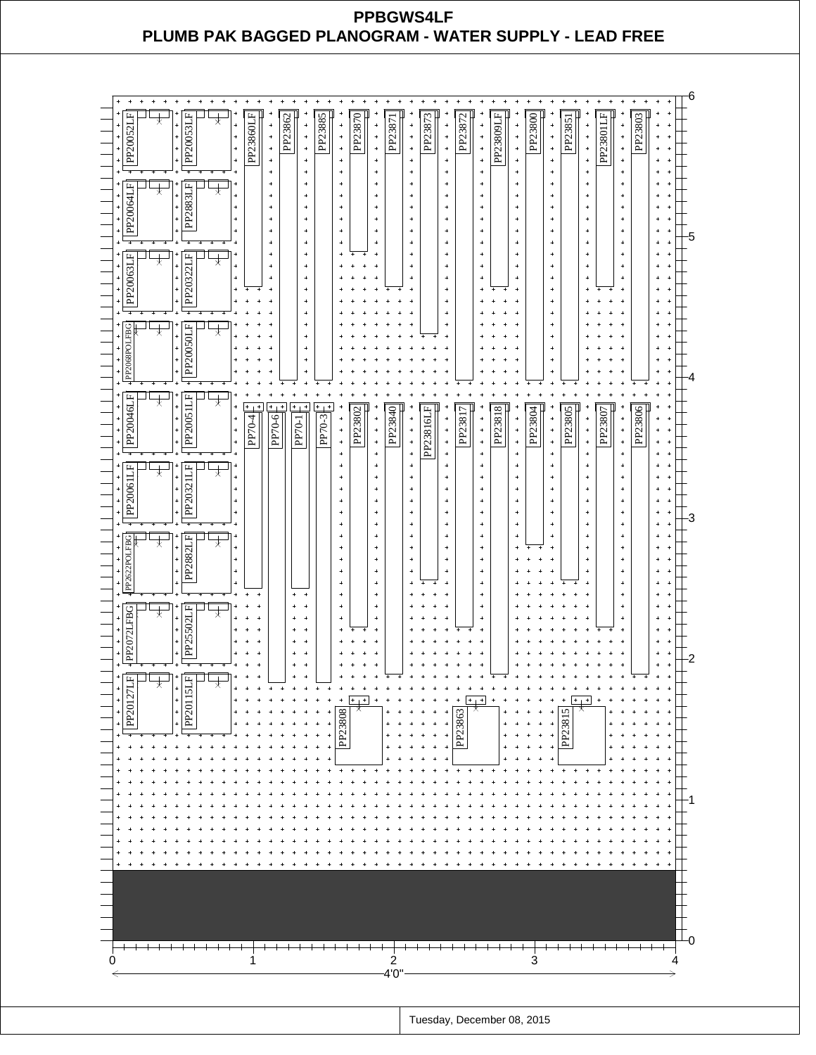